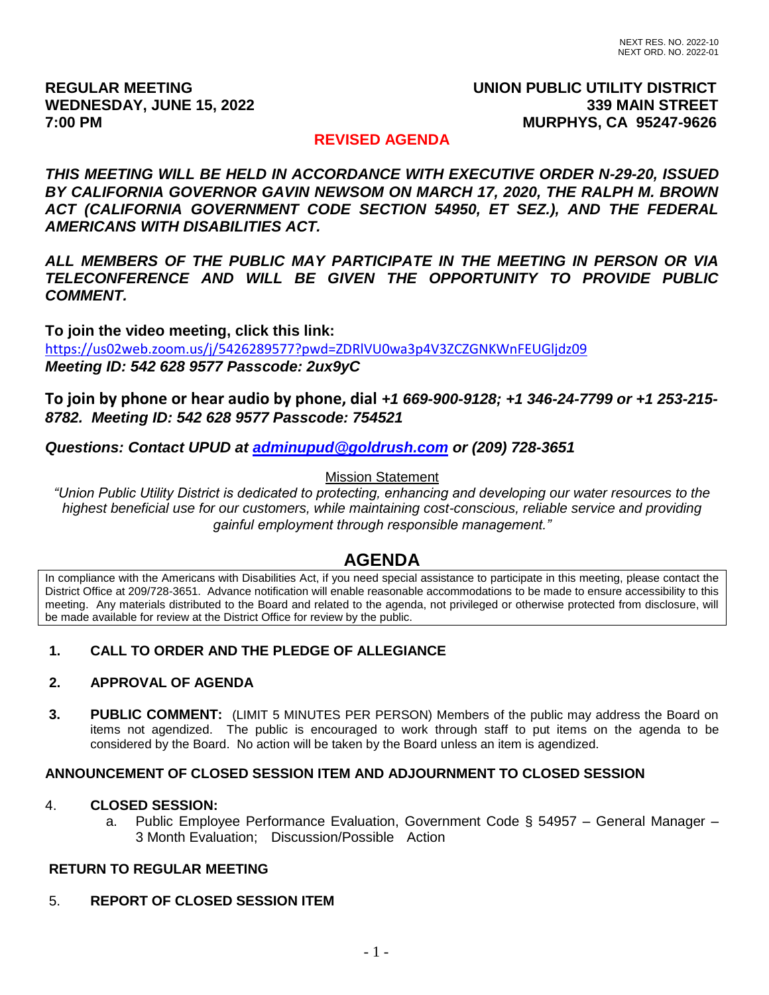## **REGULAR MEETING UNION PUBLIC UTILITY DISTRICT** WEDNESDAY, JUNE 15, 2022 **339 MAIN STREET 7:00 PM MURPHYS, CA 95247-9626**

## **REVISED AGENDA**

*THIS MEETING WILL BE HELD IN ACCORDANCE WITH EXECUTIVE ORDER N-29-20, ISSUED BY CALIFORNIA GOVERNOR GAVIN NEWSOM ON MARCH 17, 2020, THE RALPH M. BROWN ACT (CALIFORNIA GOVERNMENT CODE SECTION 54950, ET SEZ.), AND THE FEDERAL AMERICANS WITH DISABILITIES ACT.*

*ALL MEMBERS OF THE PUBLIC MAY PARTICIPATE IN THE MEETING IN PERSON OR VIA TELECONFERENCE AND WILL BE GIVEN THE OPPORTUNITY TO PROVIDE PUBLIC COMMENT.*

**To join the video meeting, click this link:** <https://us02web.zoom.us/j/5426289577?pwd=ZDRlVU0wa3p4V3ZCZGNKWnFEUGljdz09> *Meeting ID: 542 628 9577 Passcode: 2ux9yC*

**To join by phone or hear audio by phone, dial** *+1 669-900-9128; +1 346-24-7799 or +1 253-215- 8782. Meeting ID: 542 628 9577 Passcode: 754521*

*Questions: Contact UPUD at [adminupud@goldrush.com](mailto:adminupud@goldrush.com) or (209) 728-3651* 

## Mission Statement

*"Union Public Utility District is dedicated to protecting, enhancing and developing our water resources to the highest beneficial use for our customers, while maintaining cost-conscious, reliable service and providing gainful employment through responsible management."*

# **AGENDA**

In compliance with the Americans with Disabilities Act, if you need special assistance to participate in this meeting, please contact the District Office at 209/728-3651. Advance notification will enable reasonable accommodations to be made to ensure accessibility to this meeting. Any materials distributed to the Board and related to the agenda, not privileged or otherwise protected from disclosure, will be made available for review at the District Office for review by the public.

## **1. CALL TO ORDER AND THE PLEDGE OF ALLEGIANCE**

## **2. APPROVAL OF AGENDA**

**3. PUBLIC COMMENT:** (LIMIT 5 MINUTES PER PERSON) Members of the public may address the Board on items not agendized. The public is encouraged to work through staff to put items on the agenda to be considered by the Board. No action will be taken by the Board unless an item is agendized.

## **ANNOUNCEMENT OF CLOSED SESSION ITEM AND ADJOURNMENT TO CLOSED SESSION**

#### 4. **CLOSED SESSION:**

 a. Public Employee Performance Evaluation, Government Code § 54957 – General Manager – 3 Month Evaluation; Discussion/Possible Action

#### **RETURN TO REGULAR MEETING**

## 5. **REPORT OF CLOSED SESSION ITEM**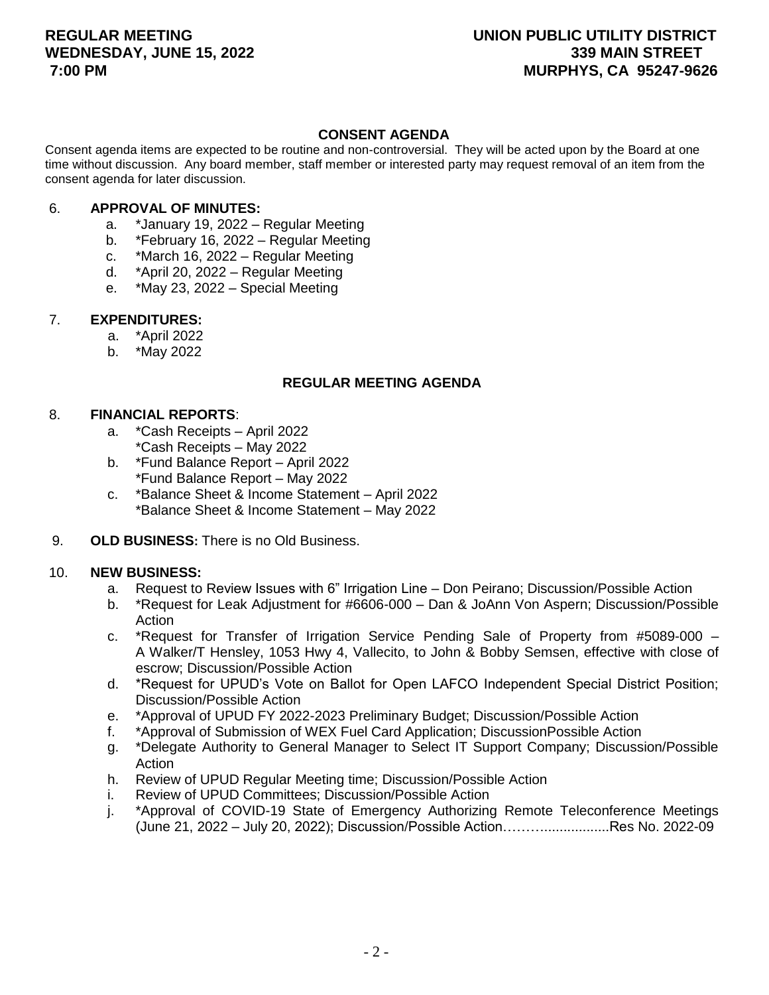#### **CONSENT AGENDA**

Consent agenda items are expected to be routine and non-controversial. They will be acted upon by the Board at one time without discussion. Any board member, staff member or interested party may request removal of an item from the consent agenda for later discussion.

#### 6. **APPROVAL OF MINUTES:**

- a. \*January 19, 2022 Regular Meeting
- b. \*February 16, 2022 Regular Meeting
- c. \*March 16, 2022 Regular Meeting
- d. \*April 20, 2022 Regular Meeting
- e. \*May 23, 2022 Special Meeting

## 7. **EXPENDITURES:**

- a. \*April 2022
- b. \*May 2022

## **REGULAR MEETING AGENDA**

#### 8. **FINANCIAL REPORTS**:

- a. \*Cash Receipts April 2022 \*Cash Receipts – May 2022
- b. \*Fund Balance Report April 2022 \*Fund Balance Report – May 2022
- c. \*Balance Sheet & Income Statement April 2022 \*Balance Sheet & Income Statement – May 2022
- 9. **OLD BUSINESS:** There is no Old Business.

#### 10. **NEW BUSINESS:**

- a. Request to Review Issues with 6" Irrigation Line Don Peirano; Discussion/Possible Action
- b. \*Request for Leak Adjustment for #6606-000 Dan & JoAnn Von Aspern; Discussion/Possible Action
- c. \*Request for Transfer of Irrigation Service Pending Sale of Property from #5089-000 A Walker/T Hensley, 1053 Hwy 4, Vallecito, to John & Bobby Semsen, effective with close of escrow; Discussion/Possible Action
- d. \*Request for UPUD's Vote on Ballot for Open LAFCO Independent Special District Position; Discussion/Possible Action
- e. \*Approval of UPUD FY 2022-2023 Preliminary Budget; Discussion/Possible Action
- f. \*Approval of Submission of WEX Fuel Card Application; DiscussionPossible Action
- g. \*Delegate Authority to General Manager to Select IT Support Company; Discussion/Possible Action
- h. Review of UPUD Regular Meeting time; Discussion/Possible Action
- i. Review of UPUD Committees; Discussion/Possible Action
- j. \*Approval of COVID-19 State of Emergency Authorizing Remote Teleconference Meetings (June 21, 2022 – July 20, 2022); Discussion/Possible Action……….................Res No. 2022-09